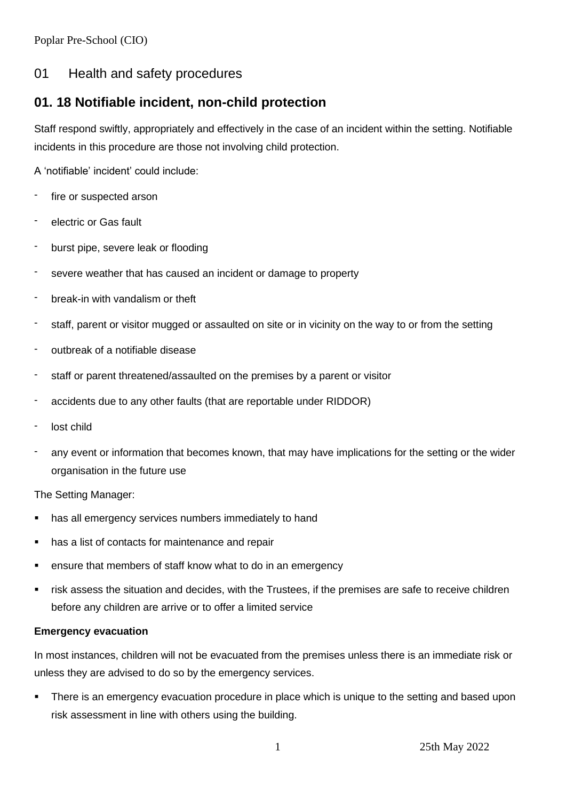## 01 Health and safety procedures

# **01. 18 Notifiable incident, non-child protection**

Staff respond swiftly, appropriately and effectively in the case of an incident within the setting. Notifiable incidents in this procedure are those not involving child protection.

A 'notifiable' incident' could include:

- fire or suspected arson
- electric or Gas fault
- burst pipe, severe leak or flooding
- severe weather that has caused an incident or damage to property
- break-in with vandalism or theft
- staff, parent or visitor mugged or assaulted on site or in vicinity on the way to or from the setting
- outbreak of a notifiable disease
- staff or parent threatened/assaulted on the premises by a parent or visitor
- accidents due to any other faults (that are reportable under RIDDOR)
- lost child
- any event or information that becomes known, that may have implications for the setting or the wider organisation in the future use

The Setting Manager:

- has all emergency services numbers immediately to hand
- has a list of contacts for maintenance and repair
- ensure that members of staff know what to do in an emergency
- risk assess the situation and decides, with the Trustees, if the premises are safe to receive children before any children are arrive or to offer a limited service

## **Emergency evacuation**

In most instances, children will not be evacuated from the premises unless there is an immediate risk or unless they are advised to do so by the emergency services.

There is an emergency evacuation procedure in place which is unique to the setting and based upon risk assessment in line with others using the building.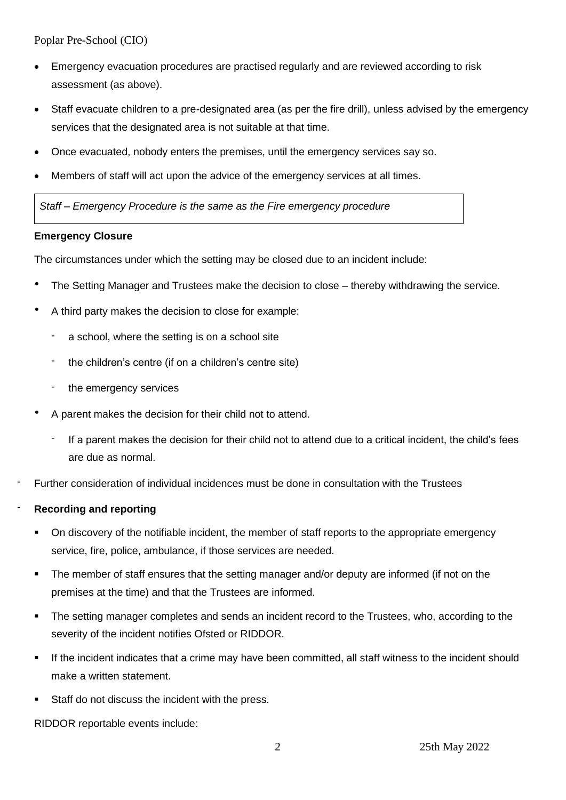- Emergency evacuation procedures are practised regularly and are reviewed according to risk assessment (as above).
- Staff evacuate children to a pre-designated area (as per the fire drill), unless advised by the emergency services that the designated area is not suitable at that time.
- Once evacuated, nobody enters the premises, until the emergency services say so.
- Members of staff will act upon the advice of the emergency services at all times.

*Staff – Emergency Procedure is the same as the Fire emergency procedure* 

#### **Emergency Closure**

The circumstances under which the setting may be closed due to an incident include:

- The Setting Manager and Trustees make the decision to close thereby withdrawing the service.
- A third party makes the decision to close for example:
	- a school, where the setting is on a school site
	- the children's centre (if on a children's centre site)
	- the emergency services
- A parent makes the decision for their child not to attend.
	- If a parent makes the decision for their child not to attend due to a critical incident, the child's fees are due as normal.
- Further consideration of individual incidences must be done in consultation with the Trustees

## - **Recording and reporting**

- On discovery of the notifiable incident, the member of staff reports to the appropriate emergency service, fire, police, ambulance, if those services are needed.
- The member of staff ensures that the setting manager and/or deputy are informed (if not on the premises at the time) and that the Trustees are informed.
- The setting manager completes and sends an incident record to the Trustees, who, according to the severity of the incident notifies Ofsted or RIDDOR.
- If the incident indicates that a crime may have been committed, all staff witness to the incident should make a written statement.
- Staff do not discuss the incident with the press.

RIDDOR reportable events include: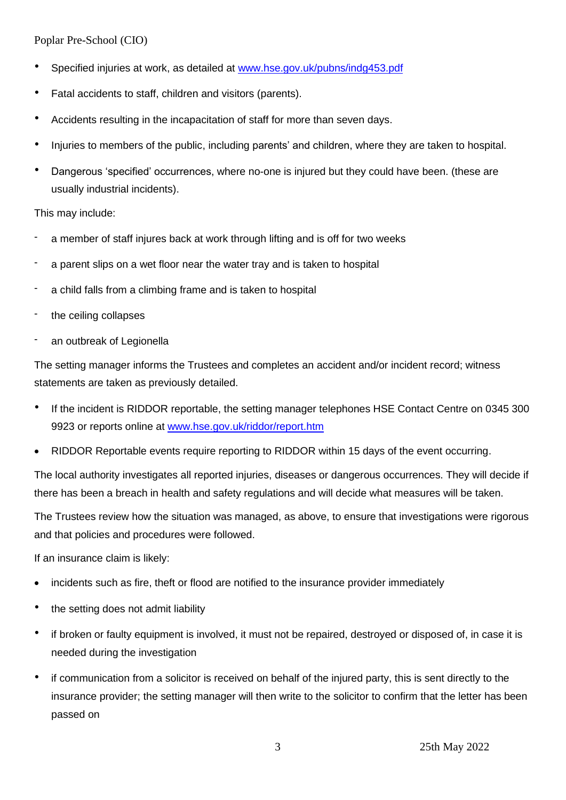- Specified injuries at work, as detailed at [www.hse.gov.uk/pubns/indg453.pdf](http://www.hse.gov.uk/pubns/indg453.pdf)
- Fatal accidents to staff, children and visitors (parents).
- Accidents resulting in the incapacitation of staff for more than seven days.
- Injuries to members of the public, including parents' and children, where they are taken to hospital.
- Dangerous 'specified' occurrences, where no-one is injured but they could have been. (these are usually industrial incidents).

## This may include:

- a member of staff injures back at work through lifting and is off for two weeks
- a parent slips on a wet floor near the water tray and is taken to hospital
- a child falls from a climbing frame and is taken to hospital
- the ceiling collapses
- an outbreak of Legionella

The setting manager informs the Trustees and completes an accident and/or incident record; witness statements are taken as previously detailed.

- If the incident is RIDDOR reportable, the setting manager telephones HSE Contact Centre on 0345 300 9923 or reports online at [www.hse.gov.uk/riddor/report.htm](http://www.hse.gov.uk/riddor/report.htm)
- RIDDOR Reportable events require reporting to RIDDOR within 15 days of the event occurring.

The local authority investigates all reported injuries, diseases or dangerous occurrences. They will decide if there has been a breach in health and safety regulations and will decide what measures will be taken.

The Trustees review how the situation was managed, as above, to ensure that investigations were rigorous and that policies and procedures were followed.

If an insurance claim is likely:

- incidents such as fire, theft or flood are notified to the insurance provider immediately
- the setting does not admit liability
- if broken or faulty equipment is involved, it must not be repaired, destroyed or disposed of, in case it is needed during the investigation
- if communication from a solicitor is received on behalf of the injured party, this is sent directly to the insurance provider; the setting manager will then write to the solicitor to confirm that the letter has been passed on